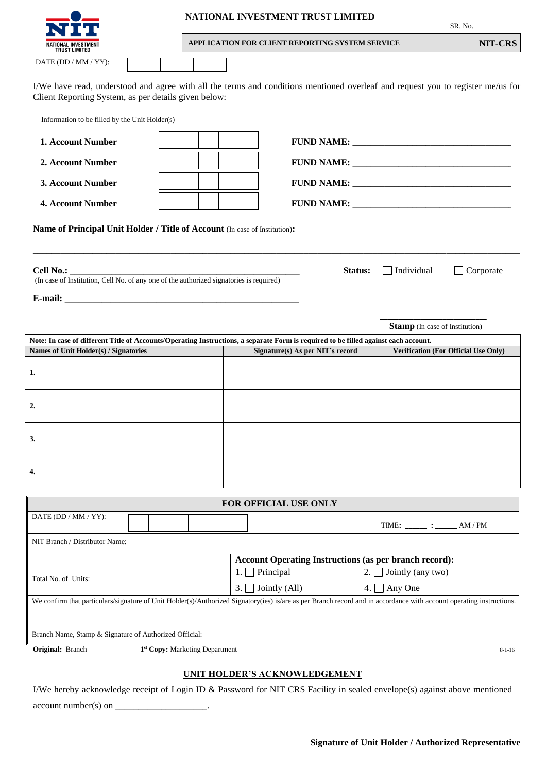|                                                                                                                                                                                         |                                |  |                       | NATIONAL INVESTMENT TRUST LIMITED                             |                                      |                                               | SR. No.          |
|-----------------------------------------------------------------------------------------------------------------------------------------------------------------------------------------|--------------------------------|--|-----------------------|---------------------------------------------------------------|--------------------------------------|-----------------------------------------------|------------------|
| <b>TRUST LIMITED</b>                                                                                                                                                                    |                                |  |                       | APPLICATION FOR CLIENT REPORTING SYSTEM SERVICE               |                                      |                                               | NIT-CRS          |
| DATE (DD / MM / YY):                                                                                                                                                                    |                                |  |                       |                                                               |                                      |                                               |                  |
| I/We have read, understood and agree with all the terms and conditions mentioned overleaf and request you to register me/us for<br>Client Reporting System, as per details given below: |                                |  |                       |                                                               |                                      |                                               |                  |
| Information to be filled by the Unit Holder(s)                                                                                                                                          |                                |  |                       |                                                               |                                      |                                               |                  |
| 1. Account Number                                                                                                                                                                       |                                |  |                       |                                                               |                                      |                                               |                  |
| 2. Account Number                                                                                                                                                                       |                                |  |                       |                                                               |                                      |                                               |                  |
| 3. Account Number                                                                                                                                                                       |                                |  |                       |                                                               |                                      |                                               |                  |
| 4. Account Number                                                                                                                                                                       |                                |  |                       |                                                               |                                      |                                               |                  |
| Name of Principal Unit Holder / Title of Account (In case of Institution):                                                                                                              |                                |  |                       |                                                               |                                      |                                               |                  |
| Cell No.:<br>(In case of Institution, Cell No. of any one of the authorized signatories is required)                                                                                    |                                |  |                       |                                                               | Status:                              | $\Box$ Individual                             | $\Box$ Corporate |
|                                                                                                                                                                                         |                                |  |                       |                                                               |                                      |                                               |                  |
|                                                                                                                                                                                         |                                |  |                       |                                                               |                                      | <b>Stamp</b> (In case of Institution)         |                  |
| Note: In case of different Title of Accounts/Operating Instructions, a separate Form is required to be filled against each account.                                                     |                                |  |                       |                                                               |                                      |                                               |                  |
| Names of Unit Holder(s) / Signatories                                                                                                                                                   |                                |  |                       | Signature(s) As per NIT's record                              | Verification (For Official Use Only) |                                               |                  |
| 1.                                                                                                                                                                                      |                                |  |                       |                                                               |                                      |                                               |                  |
| 2.                                                                                                                                                                                      |                                |  |                       |                                                               |                                      |                                               |                  |
| 3.                                                                                                                                                                                      |                                |  |                       |                                                               |                                      |                                               |                  |
| 4.                                                                                                                                                                                      |                                |  |                       |                                                               |                                      |                                               |                  |
|                                                                                                                                                                                         |                                |  |                       | FOR OFFICIAL USE ONLY                                         |                                      |                                               |                  |
| DATE (DD / MM / YY):                                                                                                                                                                    |                                |  |                       |                                                               |                                      | TIME: $\_\_\_\_\_\$ : $\_\_\_\$ AM / PM       |                  |
| NIT Branch / Distributor Name:                                                                                                                                                          |                                |  |                       |                                                               |                                      |                                               |                  |
|                                                                                                                                                                                         |                                |  |                       | <b>Account Operating Instructions (as per branch record):</b> |                                      |                                               |                  |
|                                                                                                                                                                                         |                                |  | $\mathbf{I}$ .<br>3.1 | Principal<br>Jointly (All)                                    | 2. I                                 | $\Box$ Jointly (any two)<br>4. $\Box$ Any One |                  |
| We confirm that particulars/signature of Unit Holder(s)/Authorized Signatory(ies) is/are as per Branch record and in accordance with account operating instructions.                    |                                |  |                       |                                                               |                                      |                                               |                  |
| Branch Name, Stamp & Signature of Authorized Official:                                                                                                                                  |                                |  |                       |                                                               |                                      |                                               |                  |
| Original: Branch                                                                                                                                                                        | 1st Copy: Marketing Department |  |                       |                                                               |                                      |                                               | $8 - 1 - 16$     |
|                                                                                                                                                                                         |                                |  |                       | <b>IINIT HAI DED'S ACKNOWI EDCEMENT</b>                       |                                      |                                               |                  |

## **UNIT HOLDER'S ACKNOWLEDGEMENT**

I/We hereby acknowledge receipt of Login ID & Password for NIT CRS Facility in sealed envelope(s) against above mentioned  $account number(s) on$   $\_\_$